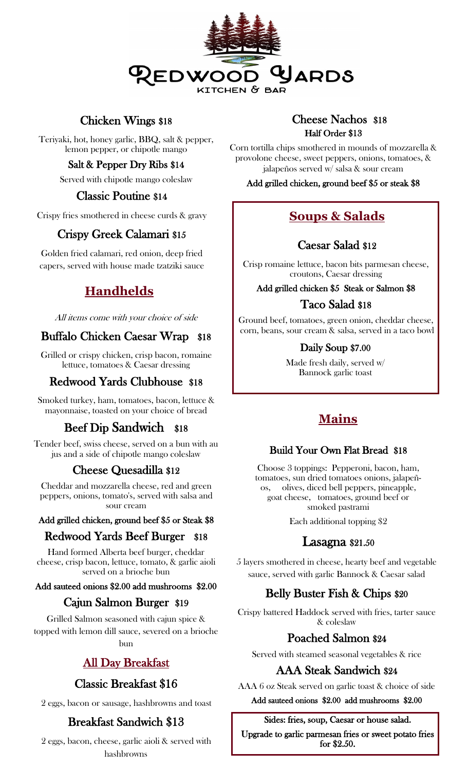

# Chicken Wings \$18

Teriyaki, hot, honey garlic, BBQ, salt & pepper, lemon pepper, or chipotle mango

## Salt & Pepper Dry Ribs \$14

Served with chipotle mango coleslaw

# Classic Poutine \$14

Crispy fries smothered in cheese curds & gravy

# Crispy Greek Calamari \$15

Golden fried calamari, red onion, deep fried capers, served with house made tzatziki sauce

# **Handhelds**

All items come with your choice of side

# Buffalo Chicken Caesar Wrap \$18

Grilled or crispy chicken, crisp bacon, romaine lettuce, tomatoes & Caesar dressing

# Redwood Yards Clubhouse \$18

Smoked turkey, ham, tomatoes, bacon, lettuce & mayonnaise, toasted on your choice of bread

# Beef Dip Sandwich \$18

Tender beef, swiss cheese, served on a bun with au jus and a side of chipotle mango coleslaw

# Cheese Quesadilla \$12

Cheddar and mozzarella cheese, red and green peppers, onions, tomato's, served with salsa and sour cream

#### Add grilled chicken, ground beef \$5 or Steak \$8

# Redwood Yards Beef Burger \$18

Hand formed Alberta beef burger, cheddar cheese, crisp bacon, lettuce, tomato, & garlic aioli served on a brioche bun

#### Add sauteed onions \$2.00 add mushrooms \$2.00

# Cajun Salmon Burger \$19

Grilled Salmon seasoned with cajun spice & topped with lemon dill sauce, severed on a brioche bun

# All Day Breakfast

# Classic Breakfast \$16

2 eggs, bacon or sausage, hashbrowns and toast

# Breakfast Sandwich \$13

2 eggs, bacon, cheese, garlic aioli & served with hashbrowns

# Cheese Nachos \$18 Half Order \$13

Corn tortilla chips smothered in mounds of mozzarella & provolone cheese, sweet peppers, onions, tomatoes, & jalapeños served w/ salsa & sour cream

#### Add grilled chicken, ground beef \$5 or steak \$8

# **Soups & Salads**

# Caesar Salad \$12

Crisp romaine lettuce, bacon bits parmesan cheese, croutons, Caesar dressing

Add grilled chicken \$5 Steak or Salmon \$8

# Taco Salad \$18

Ground beef, tomatoes, green onion, cheddar cheese, corn, beans, sour cream & salsa, served in a taco bowl

#### Daily Soup \$7.00

Made fresh daily, served w/ Bannock garlic toast

# **Mains**

# Build Your Own Flat Bread \$18

Choose 3 toppings: Pepperoni, bacon, ham, tomatoes, sun dried tomatoes onions, jalapeños, olives, diced bell peppers, pineapple, goat cheese, tomatoes, ground beef or smoked pastrami

Each additional topping \$2

# Lasagna \$21.50

5 layers smothered in cheese, hearty beef and vegetable sauce, served with garlic Bannock & Caesar salad

# Belly Buster Fish & Chips \$20

Crispy battered Haddock served with fries, tarter sauce & coleslaw

# Poached Salmon \$24

Served with steamed seasonal vegetables & rice

# AAA Steak Sandwich \$24

AAA 6 oz Steak served on garlic toast & choice of side

#### Add sauteed onions \$2.00 add mushrooms \$2.00

#### Sides: fries, soup, Caesar or house salad.

Upgrade to garlic parmesan fries or sweet potato fries for \$2.50.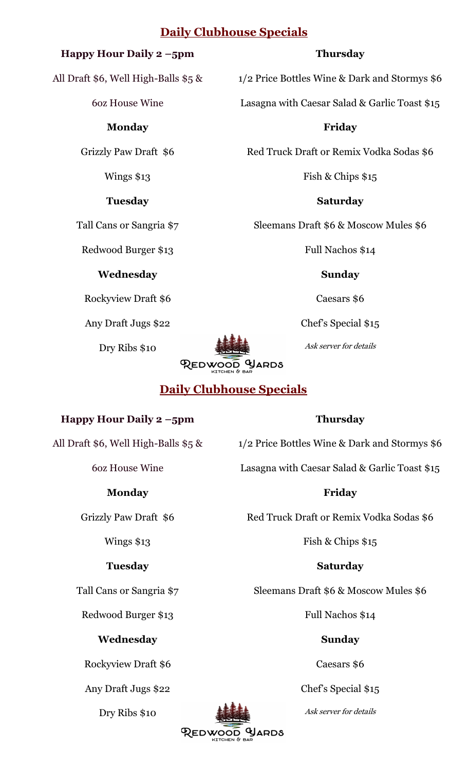# **Daily Clubhouse Specials**

## **Happy Hour Daily 2 –5pm**

All Draft \$6, Well High-Balls \$5 &

6oz House Wine

#### **Monday**

Grizzly Paw Draft \$6

Wings \$13

#### **Tuesday**

Tall Cans or Sangria \$7

Redwood Burger \$13

## **Wednesday**

Rockyview Draft \$6

Any Draft Jugs \$22

Dry Ribs \$10



# **Daily Clubhouse Specials**

# **Happy Hour Daily 2 –5pm**

All Draft \$6, Well High-Balls \$5 &

6oz House Wine

# **Monday**

Grizzly Paw Draft \$6

## Wings \$13

# **Tuesday**

Tall Cans or Sangria \$7

Redwood Burger \$13

# **Wednesday**

Rockyview Draft \$6

Any Draft Jugs \$22

Dry Ribs \$10

**Thursday**

1/2 Price Bottles Wine & Dark and Stormys \$6

Lasagna with Caesar Salad & Garlic Toast \$15

**Friday** 

Red Truck Draft or Remix Vodka Sodas \$6

Fish & Chips \$15

**Saturday**

Sleemans Draft \$6 & Moscow Mules \$6

Full Nachos \$14

**Sunday** 

Caesars \$6

Chef's Special \$15

Ask server for details

1/2 Price Bottles Wine & Dark and Stormys \$6

Lasagna with Caesar Salad & Garlic Toast \$15

# **Friday**

Red Truck Draft or Remix Vodka Sodas \$6

Fish & Chips \$15

# **Saturday**

Sleemans Draft \$6 & Moscow Mules \$6

Full Nachos \$14

# **Sunday**

Caesars \$6

Chef's Special \$15

Ask server for details



**Thursday**